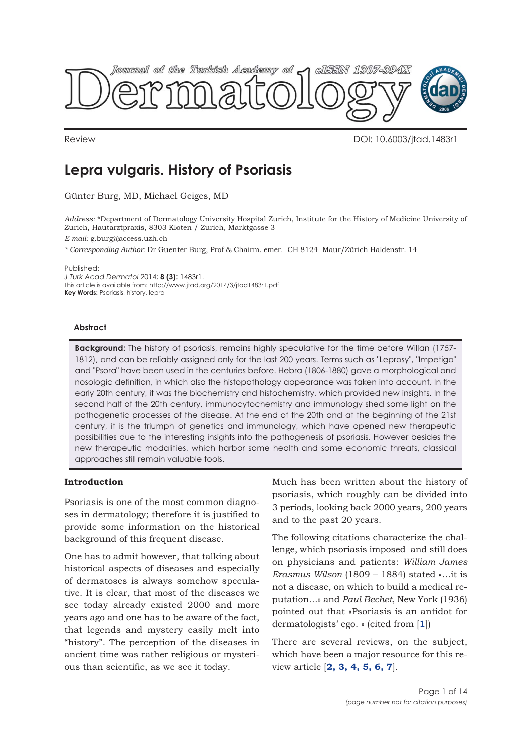

Review DOI: 10.6003/jtad.1483r1

# **Lepra vulgaris. History of Psoriasis**

Günter Burg, MD, Michael Geiges, MD

*Address:* \*Department of Dermatology University Hospital Zurich, Institute for the History of Medicine University of Zurich, Hautarztpraxis, 8303 Kloten / Zurich, Marktgasse 3

*E-mail:* g.burg@access.uzh.ch

*\* Corresponding Author:* Dr Guenter Burg, Prof & Chairm. emer. CH 8124 Maur/Zürich Haldenstr. 14

Published:

*J Turk Acad Dermatol* 2014; **8 (3)**: 1483r1. This article is available from: http://www.jtad.org/2014/3/jtad1483r1.pdf **Key Words:** Psoriasis, history, lepra

## **Abstract**

**Background:** The history of psoriasis, remains highly speculative for the time before Willan (1757- 1812), and can be reliably assigned only for the last 200 years. Terms such as "Leprosy", "Impetigo" and "Psora" have been used in the centuries before. Hebra (1806-1880) gave a morphological and nosologic definition, in which also the histopathology appearance was taken into account. In the early 20th century, it was the biochemistry and histochemistry, which provided new insights. In the second half of the 20th century, immunocytochemistry and immunology shed some light on the pathogenetic processes of the disease. At the end of the 20th and at the beginning of the 21st century, it is the triumph of genetics and immunology, which have opened new therapeutic possibilities due to the interesting insights into the pathogenesis of psoriasis. However besides the new therapeutic modalities, which harbor some health and some economic threats, classical approaches still remain valuable tools.

## **Introduction**

Psoriasis is one of the most common diagnoses in dermatology; therefore it is justified to provide some information on the historical background of this frequent disease.

One has to admit however, that talking about historical aspects of diseases and especially of dermatoses is always somehow speculative. It is clear, that most of the diseases we see today already existed 2000 and more years ago and one has to be aware of the fact, that legends and mystery easily melt into "history". The perception of the diseases in ancient time was rather religious or mysterious than scientific, as we see it today.

Much has been written about the history of psoriasis, which roughly can be divided into 3 periods, looking back 2000 years, 200 years and to the past 20 years.

The following citations characterize the challenge, which psoriasis imposed and still does on physicians and patients: *William James Erasmus Wilson* (1809 – 1884) stated «…it is not a disease, on which to build a medical reputation…» and *Paul Bechet*, New York (1936) pointed out that «Psoriasis is an antidot for dermatologists' ego. » (cited from [**[1](#page-11-0)**])

There are several reviews, on the subject, which have been a major resource for this review article [**[2, 3,](#page-11-0) [4, 5, 6,](#page-11-0) [7](#page-11-0)**].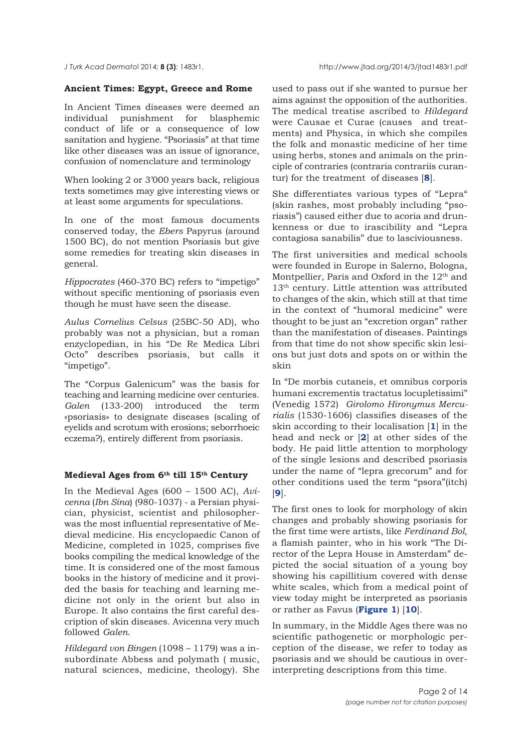## **Ancient Times: Egypt, Greece and Rome**

In Ancient Times diseases were deemed an individual punishment for blasphemic conduct of life or a consequence of low sanitation and hygiene. "Psoriasis" at that time like other diseases was an issue of ignorance, confusion of nomenclature and terminology

When looking 2 or 3'000 years back, religious texts sometimes may give interesting views or at least some arguments for speculations.

In one of the most famous documents conserved today, the *Ebers* Papyrus (around 1500 BC), do not mention Psoriasis but give some remedies for treating skin diseases in general.

*Hippocrates* (460-370 BC) refers to "impetigo" without specific mentioning of psoriasis even though he must have seen the disease.

*Aulus Cornelius Celsus* (25BC-50 AD), who probably was not a physician, but a roman enzyclopedian, in his "De Re Medica Libri Octo" describes psoriasis, but calls it "impetigo".

The "Corpus Galenicum" was the basis for teaching and learning medicine over centuries. *Galen* (133-200) introduced the term «psoriasis» to designate diseases (scaling of eyelids and scrotum with erosions; seborrhoeic eczema?), entirely different from psoriasis.

# **Medieval Ages from 6th till 15th Century**

In the Medieval Ages (600 – 1500 AC), *Avicenna* (*Ibn Sina*) (980-1037) - a Persian physician, physicist, scientist and philosopherwas the most influential representative of Medieval medicine. His encyclopaedic Canon of Medicine, completed in 1025, comprises five books compiling the medical knowledge of the time. It is considered one of the most famous books in the history of medicine and it provided the basis for teaching and learning medicine not only in the orient but also in Europe. It also contains the first careful description of skin diseases. Avicenna very much followed *Galen*.

*Hildegard von Bingen* (1098 – 1179) was a insubordinate Abbess and polymath ( music, natural sciences, medicine, theology). She

used to pass out if she wanted to pursue her aims against the opposition of the authorities. The medical treatise ascribed to *Hildegard* were Causae et Curae (causes and treatments) and Physica, in which she compiles the folk and monastic medicine of her time using herbs, stones and animals on the principle of contraries (contraria contrariis curantur) for the treatment of diseases [**[8](#page-11-0)**].

She differentiates various types of "Lepra" (skin rashes, most probably including "psoriasis") caused either due to acoria and drunkenness or due to irascibility and "Lepra contagiosa sanabilis" due to lasciviousness.

The first universities and medical schools were founded in Europe in Salerno, Bologna, Montpellier, Paris and Oxford in the  $12<sup>th</sup>$  and 13<sup>th</sup> century. Little attention was attributed to changes of the skin, which still at that time in the context of "humoral medicine" were thought to be just an "excretion organ" rather than the manifestation of diseases. Paintings from that time do not show specific skin lesions but just dots and spots on or within the skin

In "De morbis cutaneis, et omnibus corporis humani excrementis tractatus locupletissimi" (Venedig 1572) *Girolomo Hironymus Mercurialis* (1530-1606) classifies diseases of the skin according to their localisation [**[1](#page-11-0)**] in the head and neck or [**[2](#page-11-0)**] at other sides of the body. He paid little attention to morphology of the single lesions and described psoriasis under the name of "lepra grecorum" and for other conditions used the term "psora"(itch) [**[9](#page-11-0)**].

The first ones to look for morphology of skin changes and probably showing psoriasis for the first time were artists, like *Ferdinand Bol*, a flamish painter, who in his work "The Director of the Lepra House in Amsterdam" depicted the social situation of a young boy showing his capillitium covered with dense white scales, which from a medical point of view today might be interpreted as psoriasis or rather as Favus (**[Figure 1](#page-2-0)**) [**[10](#page-11-0)**].

In summary, in the Middle Ages there was no scientific pathogenetic or morphologic perception of the disease, we refer to today as psoriasis and we should be cautious in overinterpreting descriptions from this time.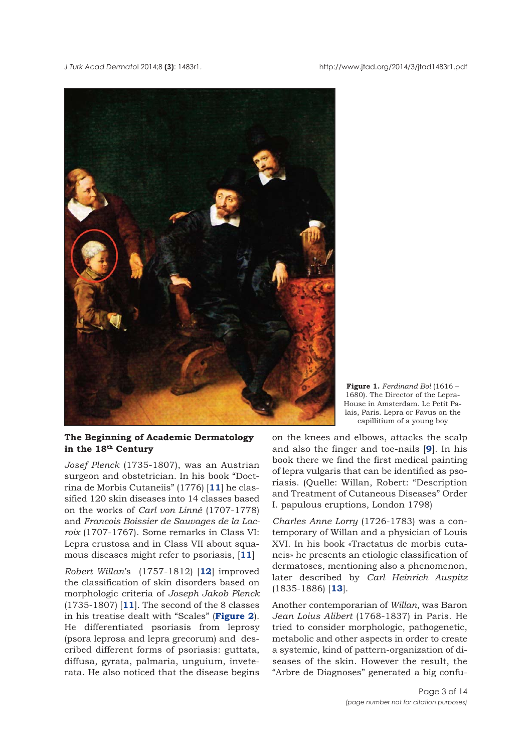<span id="page-2-0"></span>



**The Beginning of Academic Dermatology in the 18th Century**

*Josef Plenck* (1735-1807), was an Austrian surgeon and obstetrician. In his book "Doctrina de Morbis Cutaneiis" (1776) [**[11](#page-11-0)**] he classified 120 skin diseases into 14 classes based on the works of *Carl von Linné* (1707-1778) and *Francois Boissier de Sauvages de la Lacroix* (1707-1767). Some remarks in Class VI: Lepra crustosa and in Class VII about squamous diseases might refer to psoriasis, [**[11](#page-11-0)**]

*Robert Willan*'s (1757-1812) [**[12](#page-11-0)**] improved the classification of skin disorders based on morphologic criteria of *Joseph Jakob Plenck* (1735-1807) [**[11](#page-11-0)**]. The second of the 8 classes in his treatise dealt with "Scales" (**[Figure 2](#page-3-0)**). He differentiated psoriasis from leprosy (psora leprosa and lepra grecorum) and described different forms of psoriasis: guttata, diffusa, gyrata, palmaria, unguium, inveterata. He also noticed that the disease begins

**Figure 1.** *Ferdinand Bol* (1616 – 1680). The Director of the Lepra-House in Amsterdam. Le Petit Palais, Paris. Lepra or Favus on the capillitium of a young boy

on the knees and elbows, attacks the scalp and also the finger and toe-nails [**[9](#page-11-0)**]. In his book there we find the first medical painting of lepra vulgaris that can be identified as psoriasis. (Quelle: Willan, Robert: "Description and Treatment of Cutaneous Diseases" Order I. papulous eruptions, London 1798)

*Charles Anne Lorry* (1726-1783) was a contemporary of Willan and a physician of Louis XVI. In his book «Tractatus de morbis cutaneis» he presents an etiologic classification of dermatoses, mentioning also a phenomenon, later described by *Carl Heinrich Auspitz* (1835-1886) [**[13](#page-11-0)**].

Another contemporarian of *Willan*, was Baron *Jean Loius Alibert* (1768-1837) in Paris. He tried to consider morphologic, pathogenetic, metabolic and other aspects in order to create a systemic, kind of pattern-organization of diseases of the skin. However the result, the "Arbre de Diagnoses" generated a big confu-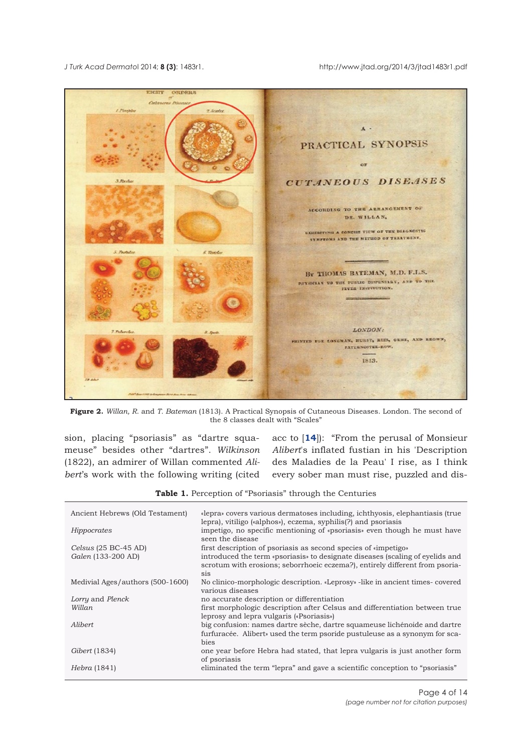<span id="page-3-0"></span>



**Figure 2.** *Willan, R*. and *T. Bateman* (1813). A Practical Synopsis of Cutaneous Diseases. London. The second of the 8 classes dealt with "Scales"

sion, placing "psoriasis" as "dartre squameuse" besides other "dartres". *Wilkinson* (1822), an admirer of Willan commented *Alibert*'s work with the following writing (cited

acc to [**[14](#page-11-0)**]): "From the perusal of Monsieur *Alibert*'s inflated fustian in his 'Description des Maladies de la Peau' I rise, as I think every sober man must rise, puzzled and dis-

**Table 1.** Perception of "Psoriasis" through the Centuries

| Ancient Hebrews (Old Testament)  | «lepra» covers various dermatoses including, ichthyosis, elephantiasis (true<br>lepra), vitiligo («alphos»), eczema, syphilis(?) and psoriasis                          |
|----------------------------------|-------------------------------------------------------------------------------------------------------------------------------------------------------------------------|
| Hippocrates                      | impetigo, no specific mentioning of «psoriasis» even though he must have<br>seen the disease                                                                            |
| Celsus $(25 BC-45 AD)$           | first description of psoriasis as second species of «impetigo»                                                                                                          |
| Galen (133-200 AD)               | introduced the term «psoriasis» to designate diseases (scaling of eyelids and<br>scrotum with erosions; seborrhoeic eczema?), entirely different from psoria-<br>sis    |
| Medivial Ages/authors (500-1600) | No clinico-morphologic description. «Leprosy» -like in ancient times-covered<br>various diseases                                                                        |
| Lorry and Plenck                 | no accurate description or differentiation                                                                                                                              |
| Willan                           | first morphologic description after Celsus and differentiation between true<br>leprosy and lepra vulgaris («Psoriasis»)                                                 |
| Alibert.                         | big confusion: names dartre sèche, dartre squameuse lichénoide and dartre<br>furfuracée. Alibert» used the term psoride pustuleuse as a synonym for sca-<br><b>bies</b> |
| <i>Gibert</i> (1834)             | one year before Hebra had stated, that lepra vulgaris is just another form<br>of psoriasis                                                                              |
| <i>Hebra</i> (1841)              | eliminated the term "lepra" and gave a scientific conception to "psoriasis"                                                                                             |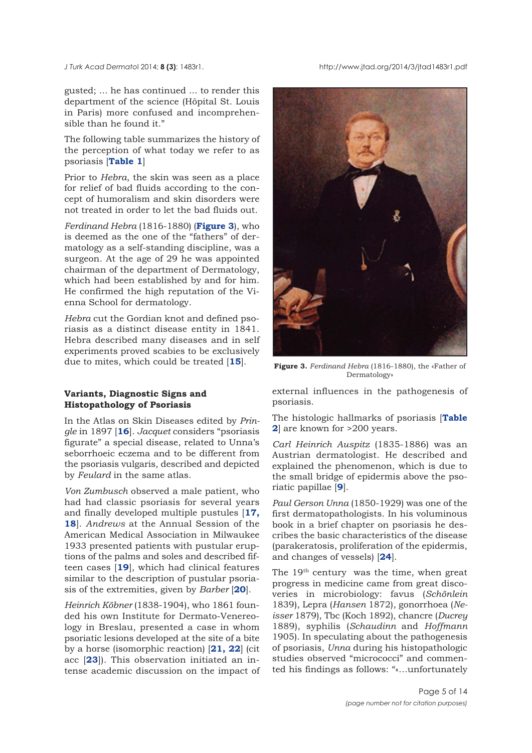*J Turk Acad Dermato*l 2014; **8 (3)**: 1483r1. http://www.jtad.org/2014/3/jtad1483r1.pdf

gusted; ... he has continued ... to render this department of the science (Hôpital St. Louis in Paris) more confused and incomprehensible than he found it."

The following table summarizes the history of the perception of what today we refer to as psoriasis [**[Table 1](#page-3-0)**]

Prior to *Hebra*, the skin was seen as a place for relief of bad fluids according to the concept of humoralism and skin disorders were not treated in order to let the bad fluids out.

*Ferdinand Hebra* (1816-1880) (**Figure 3**), who is deemed as the one of the "fathers" of dermatology as a self-standing discipline, was a surgeon. At the age of 29 he was appointed chairman of the department of Dermatology, which had been established by and for him. He confirmed the high reputation of the Vienna School for dermatology.

*Hebra* cut the Gordian knot and defined psoriasis as a distinct disease entity in 1841. Hebra described many diseases and in self experiments proved scabies to be exclusively due to mites, which could be treated [**[15](#page-11-0)**].

## **Variants, Diagnostic Signs and Histopathology of Psoriasis**

In the Atlas on Skin Diseases edited by *Pringle* in 1897 [**[16](#page-11-0)**]. *Jacquet* considers "psoriasis figurate" a special disease, related to Unna's seborrhoeic eczema and to be different from the psoriasis vulgaris, described and depicted by *Feulard* in the same atlas.

*Von Zumbusch* observed a male patient, who had had classic psoriasis for several years and finally developed multiple pustules [**[17,](#page-11-0) [18](#page-11-0)**]. *Andrews* at the Annual Session of the American Medical Association in Milwaukee 1933 presented patients with pustular eruptions of the palms and soles and described fifteen cases [**[19](#page-11-0)**], which had clinical features similar to the description of pustular psoriasis of the extremities, given by *Barber* [**[20](#page-12-0)**].

*Heinrich Köbner* (1838-1904), who 1861 founded his own Institute for Dermato-Venereology in Breslau, presented a case in whom psoriatic lesions developed at the site of a bite by a horse (isomorphic reaction) [**[21,](#page-12-0) [22](#page-12-0)**] (cit acc [**[23](#page-12-0)**]). This observation initiated an intense academic discussion on the impact of



**Figure 3.** *Ferdinand Hebra* (1816-1880), the «Father of Dermatology»

external influences in the pathogenesis of psoriasis.

[The histologic hallmarks of psoriasis \[](#page-5-0)**Table 2**] are known for >200 years.

*Carl Heinrich Auspitz* (1835-1886) was an Austrian dermatologist. He described and explained the phenomenon, which is due to the small bridge of epidermis above the psoriatic papillae [**[9](#page-11-0)**].

*Paul Gerson Unna* (1850-1929) was one of the first dermatopathologists. In his voluminous book in a brief chapter on psoriasis he describes the basic characteristics of the disease (parakeratosis, proliferation of the epidermis, and changes of vessels) [**[24](#page-12-0)**].

The 19<sup>th</sup> century was the time, when great progress in medicine came from great discoveries in microbiology: favus (*Schönlein* 1839), Lepra (*Hansen* 1872), gonorrhoea (*Neisser* 1879), Tbc (Koch 1892), chancre (*Ducrey* 1889), syphilis (*Schaudinn* and *Hoffmann* 1905). In speculating about the pathogenesis of psoriasis, *Unna* during his histopathologic studies observed "micrococci" and commented his findings as follows: "«…unfortunately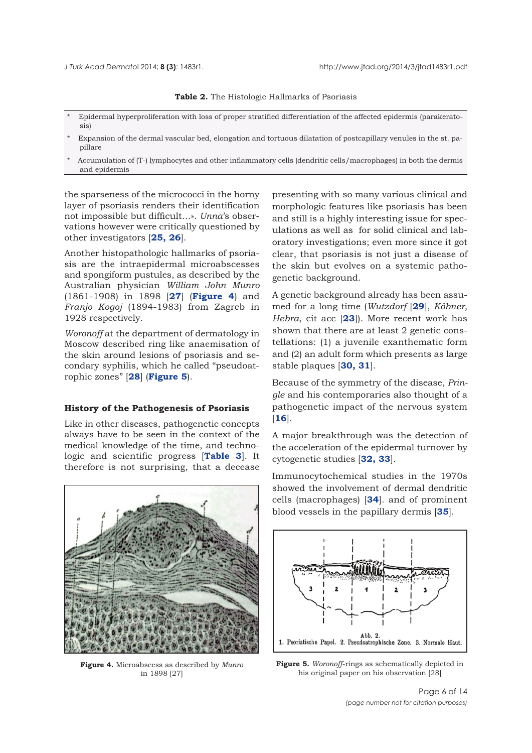#### **Table 2.** The Histologic Hallmarks of Psoriasis

- <span id="page-5-0"></span>\* Epidermal hyperproliferation with loss of proper stratified differentiation of the affected epidermis (parakeratosis)
- \* Expansion of the dermal vascular bed, elongation and tortuous dilatation of postcapillary venules in the st. papillare
- Accumulation of (T-) lymphocytes and other inflammatory cells (dendritic cells/macrophages) in both the dermis and epidermis

the sparseness of the micrococci in the horny layer of psoriasis renders their identification not impossible but difficult…». *Unna*'s observations however were critically questioned by other investigators [**[25, 26](#page-12-0)**].

Another histopathologic hallmarks of psoriasis are the intraepidermal microabscesses and spongiform pustules, as described by the Australian physician *William John Munro* (1861-1908) in 1898 [**[27](#page-12-0)**] (**Figure 4**) and *Franjo Kogoj* (1894-1983) from Zagreb in 1928 respectively.

*Woronoff* at the department of dermatology in Moscow described ring like anaemisation of the skin around lesions of psoriasis and secondary syphilis, which he called "pseudoatrophic zones" [**[28](#page-12-0)**] (**Figure 5**).

## **History of the Pathogenesis of Psoriasis**

Like in other diseases, pathogenetic concepts always have to be seen in the context of the medical knowledge of the time, and technologic and scientific progress [**[Table 3](#page-6-0)**]. It therefore is not surprising, that a decease



**Figure 4.** Microabscess as described by *Munro* in 1898 [27]

presenting with so many various clinical and morphologic features like psoriasis has been and still is a highly interesting issue for speculations as well as for solid clinical and laboratory investigations; even more since it got clear, that psoriasis is not just a disease of the skin but evolves on a systemic pathogenetic background.

A genetic background already has been assumed for a long time (*Wutzdorf* [**[29](#page-12-0)**], *Köbner, Hebra*, cit acc [**[23](#page-12-0)**]). More recent work has shown that there are at least 2 genetic constellations: (1) a juvenile exanthematic form and (2) an adult form which presents as large stable plaques [**[30, 31](#page-12-0)**].

Because of the symmetry of the disease, *Pringle* and his contemporaries also thought of a pathogenetic impact of the nervous system [**[16](#page-11-0)**].

A major breakthrough was the detection of the acceleration of the epidermal turnover by cytogenetic studies [**[32, 33](#page-12-0)**].

Immunocytochemical studies in the 1970s showed the involvement of dermal dendritic cells (macrophages) [**[34](#page-12-0)**]. and of prominent blood vessels in the papillary dermis [**[35](#page-12-0)**].

![](_page_5_Figure_18.jpeg)

**Figure 5.** *Woronoff*-rings as schematically depicted in his original paper on his observation [28]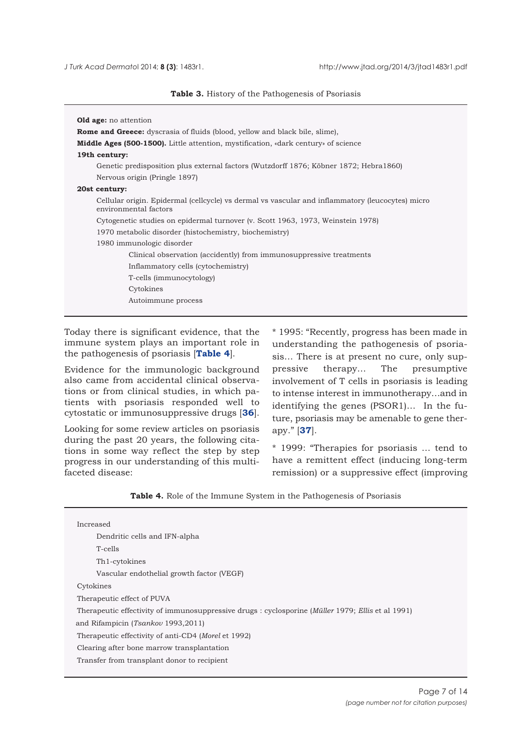**Table 3.** History of the Pathogenesis of Psoriasis

<span id="page-6-0"></span>

| <b>Old age:</b> no attention                                                                                              |
|---------------------------------------------------------------------------------------------------------------------------|
| <b>Rome and Greece:</b> dyscrasia of fluids (blood, yellow and black bile, slime),                                        |
| <b>Middle Ages (500-1500).</b> Little attention, mystification, «dark century» of science                                 |
| 19th century:                                                                                                             |
| Genetic predisposition plus external factors (Wutzdorff 1876; Köbner 1872; Hebra1860)                                     |
| Nervous origin (Pringle 1897)                                                                                             |
| 20st century:                                                                                                             |
| Cellular origin. Epidermal (cellcycle) vs dermal vs vascular and inflammatory (leucocytes) micro<br>environmental factors |
| Cytogenetic studies on epidermal turnover (v. Scott 1963, 1973, Weinstein 1978)                                           |
| 1970 metabolic disorder (histochemistry, biochemistry)                                                                    |
| 1980 immunologic disorder                                                                                                 |
| Clinical observation (accidently) from immunosuppressive treatments                                                       |
| Inflammatory cells (cytochemistry)                                                                                        |
| T-cells (immunocytology)                                                                                                  |
| Cytokines                                                                                                                 |
| Autoimmune process                                                                                                        |
|                                                                                                                           |

Today there is significant evidence, that the immune system plays an important role in the pathogenesis of psoriasis [**Table 4**].

Evidence for the immunologic background also came from accidental clinical observations or from clinical studies, in which patients with psoriasis responded well to cytostatic or immunosuppressive drugs [**[36](#page-12-0)**].

Looking for some review articles on psoriasis during the past 20 years, the following citations in some way reflect the step by step progress in our understanding of this multifaceted disease:

\* 1995: "Recently, progress has been made in understanding the pathogenesis of psoriasis… There is at present no cure, only suppressive therapy… The presumptive involvement of T cells in psoriasis is leading to intense interest in immunotherapy…and in identifying the genes (PSOR1)… In the future, psoriasis may be amenable to gene therapy." [**[37](#page-12-0)**].

\* 1999: "Therapies for psoriasis … tend to have a remittent effect (inducing long-term remission) or a suppressive effect (improving

|  |  |  |  |  | <b>Table 4.</b> Role of the Immune System in the Pathogenesis of Psoriasis |  |
|--|--|--|--|--|----------------------------------------------------------------------------|--|
|--|--|--|--|--|----------------------------------------------------------------------------|--|

| Increased                                                                                         |
|---------------------------------------------------------------------------------------------------|
| Dendritic cells and IFN-alpha                                                                     |
| T-cells                                                                                           |
| Th1-cytokines                                                                                     |
| Vascular endothelial growth factor (VEGF)                                                         |
| Cytokines                                                                                         |
| Therapeutic effect of PUVA                                                                        |
| Therapeutic effectivity of immunosuppressive drugs : cyclosporine (Müller 1979; Ellis et al 1991) |
| and Rifampicin (Tsankov 1993,2011)                                                                |
| Therapeutic effectivity of anti-CD4 (Morel et 1992)                                               |
| Clearing after bone marrow transplantation                                                        |
| Transfer from transplant donor to recipient                                                       |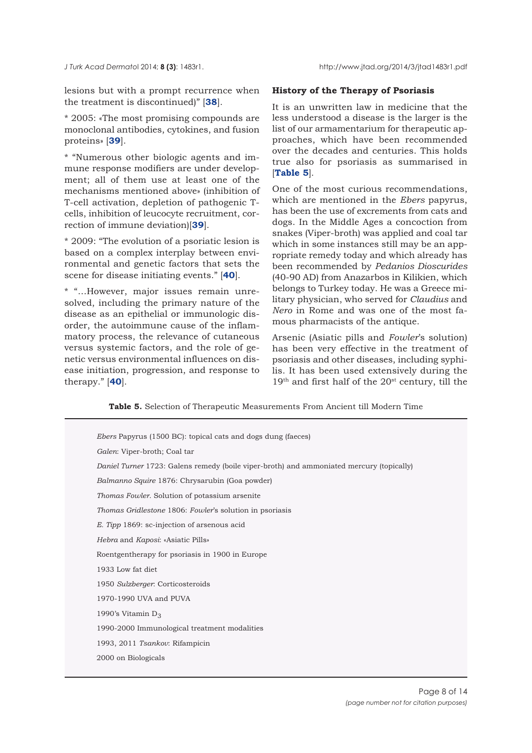lesions but with a prompt recurrence when the treatment is discontinued)" [**[38](#page-12-0)**].

\* 2005: «The most promising compounds are monoclonal antibodies, cytokines, and fusion proteins» [**[39](#page-12-0)**].

\* "Numerous other biologic agents and immune response modifiers are under development; all of them use at least one of the mechanisms mentioned above» (inhibition of T-cell activation, depletion of pathogenic Tcells, inhibition of leucocyte recruitment, correction of immune deviation)[**[39](#page-12-0)**].

\* 2009: "The evolution of a psoriatic lesion is based on a complex interplay between environmental and genetic factors that sets the scene for disease initiating events." [**[40](#page-12-0)**].

\* "…However, major issues remain unresolved, including the primary nature of the disease as an epithelial or immunologic disorder, the autoimmune cause of the inflammatory process, the relevance of cutaneous versus systemic factors, and the role of genetic versus environmental influences on disease initiation, progression, and response to therapy." [**[40](#page-12-0)**].

## **History of the Therapy of Psoriasis**

It is an unwritten law in medicine that the less understood a disease is the larger is the list of our armamentarium for therapeutic approaches, which have been recommended over the decades and centuries. This holds true also for psoriasis as summarised in [**Table 5**].

One of the most curious recommendations, which are mentioned in the *Ebers* papyrus, has been the use of excrements from cats and dogs. In the Middle Ages a concoction from snakes (Viper-broth) was applied and coal tar which in some instances still may be an appropriate remedy today and which already has been recommended by *Pedanios Dioscurides* (40-90 AD) from Anazarbos in Kilikien, which belongs to Turkey today. He was a Greece military physician, who served for *Claudius* and *Nero* in Rome and was one of the most famous pharmacists of the antique.

Arsenic (Asiatic pills and *Fowler*'s solution) has been very effective in the treatment of psoriasis and other diseases, including syphilis. It has been used extensively during the 19<sup>th</sup> and first half of the 20<sup>st</sup> century, till the

**Table 5.** Selection of Therapeutic Measurements From Ancient till Modern Time

| <i>Ebers</i> Papyrus (1500 BC): topical cats and dogs dung (faeces)                      |
|------------------------------------------------------------------------------------------|
| Galen: Viper-broth; Coal tar                                                             |
| Daniel Turner 1723: Galens remedy (boile viper-broth) and ammoniated mercury (topically) |
| Balmanno Squire 1876: Chrysarubin (Goa powder)                                           |
| <i>Thomas Fowler.</i> Solution of potassium arsenite                                     |
| <i>Thomas Gridlestone 1806: Fowler's solution in psoriasis</i>                           |
| E. Tipp 1869: sc-injection of arsenous acid                                              |
| <i>Hebra</i> and <i>Kaposi</i> : «Asiatic Pills»                                         |
| Roentgentherapy for psoriasis in 1900 in Europe                                          |
| 1933 Low fat diet                                                                        |
| 1950 Sulzberger: Corticosteroids                                                         |
| 1970-1990 UVA and PUVA                                                                   |
| 1990's Vitamin $D_3$                                                                     |
| 1990-2000 Immunological treatment modalities                                             |
| 1993, 2011 Tsankov: Rifampicin                                                           |
| 2000 on Biologicals                                                                      |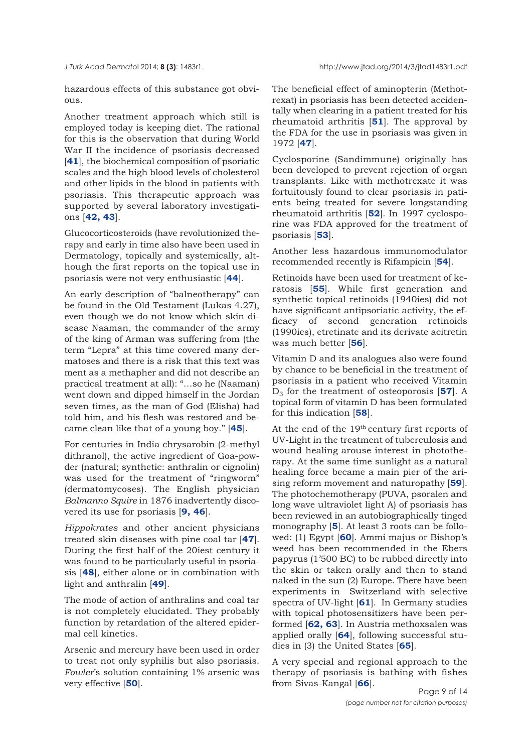hazardous effects of this substance got obvi- $011S$ .

Another treatment approach which still is employed today is keeping diet. The rational for this is the observation that during World War II the incidence of psoriasis decreased [**[41](#page-12-0)**], the biochemical composition of psoriatic scales and the high blood levels of cholesterol and other lipids in the blood in patients with psoriasis. This therapeutic approach was supported by several laboratory investigations [**[42,](#page-12-0) [43](#page-12-0)**].

Glucocorticosteroids (have revolutionized therapy and early in time also have been used in Dermatology, topically and systemically, although the first reports on the topical use in psoriasis were not very enthusiastic [**[44](#page-12-0)**].

An early description of "balneotherapy" can be found in the Old Testament (Lukas 4.27), even though we do not know which skin disease Naaman, the commander of the army of the king of Arman was suffering from (the term "Lepra" at this time covered many dermatoses and there is a risk that this text was ment as a methapher and did not describe an practical treatment at all): "…so he (Naaman) went down and dipped himself in the Jordan seven times, as the man of God (Elisha) had told him, and his flesh was restored and became clean like that of a young boy." [**[45](#page-12-0)**].

For centuries in India chrysarobin (2-methyl dithranol), the active ingredient of Goa-powder (natural; synthetic: anthralin or cignolin) was used for the treatment of "ringworm" (dermatomycoses). The English physician *Balmanno Squire* in 1876 inadvertently discovered its use for psoriasis [**[9,](#page-11-0) [46](#page-12-0)**].

*Hippokrates* and other ancient physicians treated skin diseases with pine coal tar [**[47](#page-12-0)**]. During the first half of the 20iest century it was found to be particularly useful in psoriasis [**[48](#page-12-0)**], either alone or in combination with light and anthralin [**[49](#page-12-0)**].

The mode of action of anthralins and coal tar is not completely elucidated. They probably function by retardation of the altered epidermal cell kinetics.

Arsenic and mercury have been used in order to treat not only syphilis but also psoriasis. *Fowler*'s solution containing 1% arsenic was very effective [**[50](#page-12-0)**].

The beneficial effect of aminopterin (Methotrexat) in psoriasis has been detected accidentally when clearing in a patient treated for his rheumatoid arthritis [**[51](#page-12-0)**]. The approval by the FDA for the use in psoriasis was given in 1972 [**[47](#page-12-0)**].

Cyclosporine (Sandimmune) originally has been developed to prevent rejection of organ transplants. Like with methotrexate it was fortuitously found to clear psoriasis in patients being treated for severe longstanding rheumatoid arthritis [**[52](#page-12-0)**]. In 1997 cyclosporine was FDA approved for the treatment of psoriasis [**[53](#page-12-0)**].

Another less hazardous immunomodulator recommended recently is Rifampicin [**[54](#page-12-0)**].

Retinoids have been used for treatment of keratosis [**[55](#page-12-0)**]. While first generation and synthetic topical retinoids (1940ies) did not have significant antipsoriatic activity, the efficacy of second generation retinoids (1990ies), etretinate and its derivate acitretin was much better [**[56](#page-12-0)**].

Vitamin D and its analogues also were found by chance to be beneficial in the treatment of psoriasis in a patient who received Vitamin  $D_3$  for the treatment of osteoporosis [**[57](#page-12-0)**]. A topical form of vitamin D has been formulated for this indication [**[58](#page-12-0)**].

At the end of the 19th century first reports of UV-Light in the treatment of tuberculosis and wound healing arouse interest in phototherapy. At the same time sunlight as a natural healing force became a main pier of the arising reform movement and naturopathy [**[59](#page-12-0)**]. The photochemotherapy (PUVA, psoralen and long wave ultraviolet light A) of psoriasis has been reviewed in an autobiographically tinged monography [**[5](#page-11-0)**]. At least 3 roots can be followed: (1) Egypt [**[60](#page-13-0)**]. Ammi majus or Bishop's weed has been recommended in the Ebers papyrus (1'500 BC) to be rubbed directly into the skin or taken orally and then to stand naked in the sun (2) Europe. There have been experiments in Switzerland with selective spectra of UV-light [**[61](#page-13-0)**]. In Germany studies with topical photosensitizers have been performed [**[62,](#page-13-0) [63](#page-13-0)**]. In Austria methoxsalen was applied orally [**[64](#page-13-0)**], following successful studies in (3) the United States [**[65](#page-13-0)**].

A very special and regional approach to the therapy of psoriasis is bathing with fishes from Sivas-Kangal [**[66](#page-13-0)**].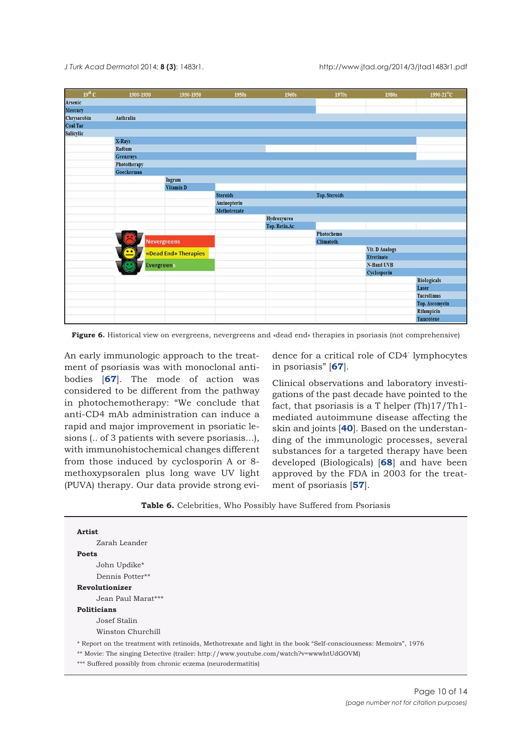<span id="page-9-0"></span>*J Turk Acad Dermato*l 2014; **8 (3)**: 1483r1. http://www.jtad.org/2014/3/jtad1483r1.pdf

| $19^{th}$ C     | 1900-1930    | 1930-1950            | 1950s           | 1960s         | 1970s                | 1980s             | $1990 - 21^{11}C$  |
|-----------------|--------------|----------------------|-----------------|---------------|----------------------|-------------------|--------------------|
| <b>Arsenic</b>  |              |                      |                 |               |                      |                   |                    |
| <b>Mercury</b>  |              |                      |                 |               |                      |                   |                    |
| Chrysarobin     | Anthralin    |                      |                 |               |                      |                   |                    |
| <b>Coal Tar</b> |              |                      |                 |               |                      |                   |                    |
| Salicylic       |              |                      |                 |               |                      |                   |                    |
|                 | X-Rays       |                      |                 |               |                      |                   |                    |
|                 | Radium       |                      |                 |               |                      |                   |                    |
|                 | Grenzrays    |                      |                 |               |                      |                   |                    |
|                 | Phototherapy |                      |                 |               |                      |                   |                    |
|                 | Goeckerman   |                      |                 |               |                      |                   |                    |
|                 |              | Ingram               |                 |               |                      |                   |                    |
|                 |              | Vitamin D            |                 |               |                      |                   |                    |
|                 |              |                      | <b>Steroids</b> |               | <b>Top. Steroids</b> |                   |                    |
|                 |              |                      | Aminopterin     |               |                      |                   |                    |
|                 |              |                      | Methotrexate    |               |                      |                   |                    |
|                 |              |                      |                 | Hydroxyurea   |                      |                   |                    |
|                 |              |                      |                 | Top. Retin.Ac |                      |                   |                    |
|                 |              |                      |                 |               | Photochemo           |                   |                    |
|                 |              | <b>Nevergreens</b>   |                 |               | Climatoth.           |                   |                    |
|                 | $\bullet$    | «Dead End» Therapies |                 |               |                      | Vit. D Analogs    |                    |
|                 |              |                      |                 |               |                      | <b>Etretinate</b> |                    |
|                 |              | <b>Evergreens</b>    |                 |               |                      | N-Band UVB        |                    |
|                 |              |                      |                 |               |                      | Cyclosporin       |                    |
|                 |              |                      |                 |               |                      |                   | <b>Biologicals</b> |
|                 |              |                      |                 |               |                      |                   | Laser              |
|                 |              |                      |                 |               |                      |                   | <b>Tacrolimus</b>  |
|                 |              |                      |                 |               |                      |                   | Top. Ascomycin     |
|                 |              |                      |                 |               |                      |                   | Rifampicin         |
|                 |              |                      |                 |               |                      |                   | <b>Tazarotene</b>  |

**Figure 6.** Historical view on evergreens, nevergreens and «dead end» therapies in psoriasis (not comprehensive)

An early immunologic approach to the treatment of psoriasis was with monoclonal antibodies [**[67](#page-13-0)**]. The mode of action was considered to be different from the pathway in photochemotherapy: "We conclude that anti-CD4 mAb administration can induce a rapid and major improvement in psoriatic lesions (.. of 3 patients with severe psoriasis...), with immunohistochemical changes different from those induced by cyclosporin A or 8 methoxypsoralen plus long wave UV light (PUVA) therapy. Our data provide strong evi-

dence for a critical role of CD4<sup>+</sup> lymphocytes in psoriasis" [**[67](#page-13-0)**].

Clinical observations and laboratory investigations of the past decade have pointed to the fact, that psoriasis is a T helper (Th)17/Th1 mediated autoimmune disease affecting the skin and joints [**[40](#page-12-0)**]. Based on the understanding of the immunologic processes, several substances for a targeted therapy have been developed (Biologicals) [**[68](#page-13-0)**] and have been approved by the FDA in 2003 for the treatment of psoriasis [**[57](#page-12-0)**].

| <b>Artist</b>      |                                                                                                                  |
|--------------------|------------------------------------------------------------------------------------------------------------------|
|                    | Zarah Leander                                                                                                    |
| <b>Poets</b>       |                                                                                                                  |
|                    | John Updike*                                                                                                     |
|                    | Dennis Potter**                                                                                                  |
|                    | <b>Revolutionizer</b>                                                                                            |
|                    | Jean Paul Marat***                                                                                               |
| <b>Politicians</b> |                                                                                                                  |
|                    | Josef Stalin                                                                                                     |
|                    | Winston Churchill                                                                                                |
|                    | * Report on the treatment with retinoids, Methotrexate and light in the book "Self-consciousness: Memoirs", 1976 |
|                    | ** Movie: The singing Detective (trailer: http://www.youtube.com/watch?v=wwwhtUdGOVM)                            |
|                    | *** Suffered possibly from chronic eczema (neurodermatitis)                                                      |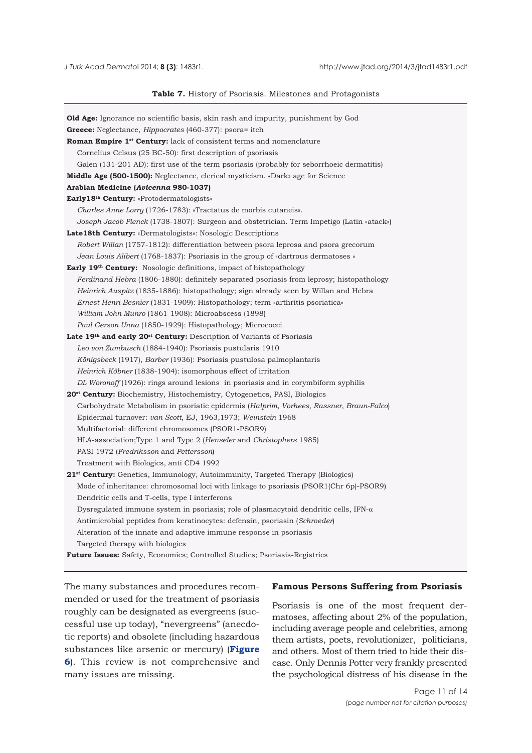<span id="page-10-0"></span>

#### **Table 7.** History of Psoriasis. Milestones and Protagonists

| <b>Old Age:</b> Ignorance no scientific basis, skin rash and impurity, punishment by God                                                                               |
|------------------------------------------------------------------------------------------------------------------------------------------------------------------------|
| Greece: Neglectance, Hippocrates (460-377): psora= itch                                                                                                                |
| <b>Roman Empire 1st Century:</b> lack of consistent terms and nomenclature                                                                                             |
| Cornelius Celsus (25 BC-50): first description of psoriasis                                                                                                            |
| Galen (131-201 AD): first use of the term psoriasis (probably for seborrhoeic dermatitis)                                                                              |
| <b>Middle Age (500-1500):</b> Neglectance, clerical mysticism. «Dark» age for Science                                                                                  |
| Arabian Medicine (Avicenna 980-1037)                                                                                                                                   |
| Early 18th Century: «Protodermatologists»                                                                                                                              |
| Charles Anne Lorry (1726-1783): «Tractatus de morbis cutaneis».                                                                                                        |
| Joseph Jacob Plenck (1738-1807): Surgeon and obstetrician. Term Impetigo (Latin «atack»)                                                                               |
| <b>Late18th Century:</b> «Dermatologists»: Nosologic Descriptions                                                                                                      |
| Robert Willan (1757-1812): differentiation between psora leprosa and psora grecorum                                                                                    |
| Jean Louis Alibert (1768-1837): Psoriasis in the group of «dartrous dermatoses «                                                                                       |
|                                                                                                                                                                        |
| <b>Early 19th Century:</b> Nosologic definitions, impact of histopathology<br>Ferdinand Hebra (1806-1880): definitely separated psoriasis from leprosy; histopathology |
|                                                                                                                                                                        |
| <i>Heinrich Auspitz</i> (1835-1886): histopathology; sign already seen by Willan and Hebra                                                                             |
| <i>Ernest Henri Besnier</i> (1831-1909): Histopathology; term «arthritis psoriatica»                                                                                   |
| William John Munro (1861-1908): Microabscess (1898)                                                                                                                    |
| Paul Gerson Unna (1850-1929): Histopathology; Micrococci                                                                                                               |
| Late 19th and early 20 <sup>st</sup> Century: Description of Variants of Psoriasis                                                                                     |
| Leo von Zumbusch (1884-1940): Psoriasis pustularis 1910                                                                                                                |
| Königsbeck (1917), Barber (1936): Psoriasis pustulosa palmoplantaris                                                                                                   |
| Heinrich Köbner (1838-1904): isomorphous effect of irritation                                                                                                          |
| DL Woronoff (1926): rings around lesions in psoriasis and in corymbiform syphilis                                                                                      |
| <b>20<sup>st</sup> Century:</b> Biochemistry, Histochemistry, Cytogenetics, PASI, Biologics                                                                            |
| Carbohydrate Metabolism in psoriatic epidermis (Halprim, Vorhees, Rassner, Braun-Falco)                                                                                |
| Epidermal turnover: van Scott, EJ, 1963, 1973; Weinstein 1968                                                                                                          |
| Multifactorial: different chromosomes (PSOR1-PSOR9)                                                                                                                    |
| HLA-association; Type 1 and Type 2 (Henseler and Christophers 1985)                                                                                                    |
| PASI 1972 (Fredriksson and Pettersson)                                                                                                                                 |
| Treatment with Biologics, anti CD4 1992                                                                                                                                |
| 21 <sup>st</sup> Century: Genetics, Immunology, Autoimmunity, Targeted Therapy (Biologics)                                                                             |
| Mode of inheritance: chromosomal loci with linkage to psoriasis (PSOR1(Chr 6p)-PSOR9)                                                                                  |
| Dendritic cells and T-cells, type I interferons                                                                                                                        |
| Dysregulated immune system in psoriasis; role of plasmacytoid dendritic cells, IFN- $\alpha$                                                                           |
| Antimicrobial peptides from keratinocytes: defensin, psoriasin (Schroeder)                                                                                             |
| Alteration of the innate and adaptive immune response in psoriasis                                                                                                     |
| Targeted therapy with biologics                                                                                                                                        |
| <b>Future Issues:</b> Safety, Economics; Controlled Studies; Psoriasis-Registries                                                                                      |
|                                                                                                                                                                        |

The many substances and procedures recommended or used for the treatment of psoriasis roughly can be designated as evergreens (successful use up today), "nevergreens" (anecdotic reports) and obsolete (including hazardous substances like arsenic or mercury) (**Figure 6**[\). This review is not comprehensive and](#page-9-0) many issues are missing.

## **Famous Persons Suffering from Psoriasis**

Psoriasis is one of the most frequent dermatoses, affecting about 2% of the population, including average people and celebrities, among them artists, poets, revolutionizer, politicians, and others. Most of them tried to hide their disease. Only Dennis Potter very frankly presented the psychological distress of his disease in the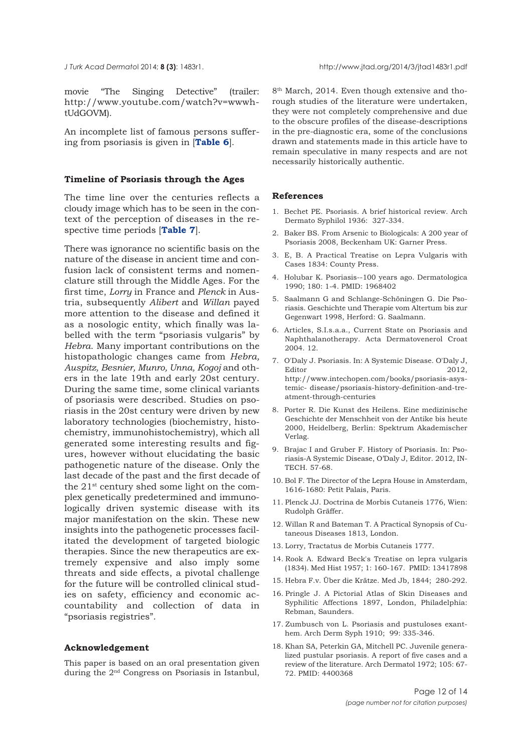<span id="page-11-0"></span>

movie "The Singing Detective" (trailer: http://www.youtube.com/watch?v=wwwhtUdGOVM).

An incomplete list of famous persons suffering from psoriasis is given in [**[Table 6](#page-9-0)**].

#### **Timeline of Psoriasis through the Ages**

The time line over the centuries reflects a cloudy image which has to be seen in the context of the perception of diseases in the respective time periods [**[Table 7](#page-10-0)**].

There was ignorance no scientific basis on the nature of the disease in ancient time and confusion lack of consistent terms and nomenclature still through the Middle Ages. For the first time, *Lorry* in France and *Plenck* in Austria, subsequently *Alibert* and *Willan* payed more attention to the disease and defined it as a nosologic entity, which finally was labelled with the term "psoriasis vulgaris" by *Hebra*. Many important contributions on the histopathologic changes came from *Hebra, Auspitz, Besnier, Munro, Unna, Kogoj* and others in the late 19th and early 20st century. During the same time, some clinical variants of psoriasis were described. Studies on psoriasis in the 20st century were driven by new laboratory technologies (biochemistry, histochemistry, immunohistochemistry), which all generated some interesting results and figures, however without elucidating the basic pathogenetic nature of the disease. Only the last decade of the past and the first decade of the 21st century shed some light on the complex genetically predetermined and immunologically driven systemic disease with its major manifestation on the skin. These new insights into the pathogenetic processes facilitated the development of targeted biologic therapies. Since the new therapeutics are extremely expensive and also imply some threats and side effects, a pivotal challenge for the future will be controlled clinical studies on safety, efficiency and economic accountability and collection of data in "psoriasis registries".

#### **Acknowledgement**

This paper is based on an oral presentation given during the 2nd Congress on Psoriasis in Istanbul,

8<sup>th</sup> March, 2014. Even though extensive and thorough studies of the literature were undertaken, they were not completely comprehensive and due to the obscure profiles of the disease-descriptions in the pre-diagnostic era, some of the conclusions drawn and statements made in this article have to remain speculative in many respects and are not necessarily historically authentic.

#### **References**

- 1. Bechet PE. Psoriasis. A brief historical review. Arch Dermato Syphilol 1936: 327-334.
- 2. Baker BS. From Arsenic to Biologicals: A 200 year of Psoriasis 2008, Beckenham UK: Garner Press.
- 3. E, B. A Practical Treatise on Lepra Vulgaris with Cases 1834: County Press.
- 4. Holubar K. Psoriasis--100 years ago. Dermatologica 1990; 180: 1-4. PMID: 1968402
- 5. Saalmann G and Schlange-Schöningen G. Die Psoriasis. Geschichte und Therapie vom Altertum bis zur Gegenwart 1998, Herford: G. Saalmann.
- 6. Articles, S.I.s.a.a., Current State on Psoriasis and Naphthalanotherapy. Acta Dermatovenerol Croat 2004. 12.
- 7. O'Daly J. Psoriasis. In: A Systemic Disease. O'Daly J, Editor 2012, http://www.intechopen.com/books/psoriasis-asystemic- disease/psoriasis-history-definition-and-treatment-through-centuries
- 8. Porter R. Die Kunst des Heilens. Eine medizinische Geschichte der Menschheit von der Antike bis heute 2000, Heidelberg, Berlin: Spektrum Akademischer Verlag.
- 9. Brajac I and Gruber F. History of Psoriasis. In: Psoriasis-A Systemic Disease, O'Daly J, Editor. 2012, IN-TECH. 57-68.
- 10. Bol F. The Director of the Lepra House in Amsterdam, 1616-1680: Petit Palais, Paris.
- 11. Plenck JJ. Doctrina de Morbis Cutaneis 1776, Wien: Rudolph Gräffer.
- 12. Willan R and Bateman T. A Practical Synopsis of Cutaneous Diseases 1813, London.
- 13. Lorry, Tractatus de Morbis Cutaneis 1777.
- 14. Rook A. Edward Beck's Treatise on lepra vulgaris (1834). Med Hist 1957; 1: 160-167. PMID: 13417898
- 15. Hebra F.v. Über die Krätze. Med Jb, 1844; 280-292.
- 16. Pringle J. A Pictorial Atlas of Skin Diseases and Syphilitic Affections 1897, London, Philadelphia: Rebman, Saunders.
- 17. Zumbusch von L. Psoriasis and pustuloses exanthem. Arch Derm Syph 1910; 99: 335-346.
- 18. Khan SA, Peterkin GA, Mitchell PC. Juvenile generalized pustular psoriasis. A report of five cases and a review of the literature. Arch Dermatol 1972; 105: 67- 72. PMID: 4400368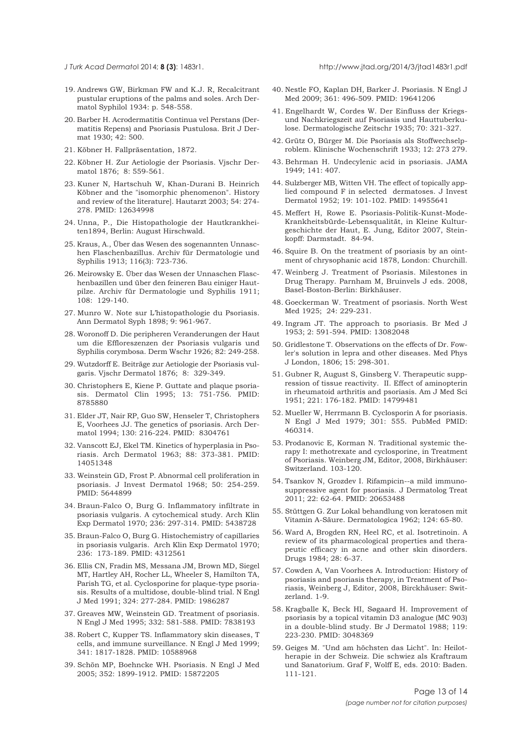<span id="page-12-0"></span>

- 19. Andrews GW, Birkman FW and K.J. R, Recalcitrant pustular eruptions of the palms and soles. Arch Dermatol Syphilol 1934: p. 548-558.
- 20. Barber H. Acrodermatitis Continua vel Perstans (Dermatitis Repens) and Psoriasis Pustulosa. Brit J Dermat 1930; 42: 500.
- 21. Köbner H. Fallpräsentation, 1872.
- 22. Köbner H. Zur Aetiologie der Psoriasis. Vjschr Dermatol 1876; 8: 559-561.
- 23. Kuner N, Hartschuh W, Khan-Durani B. Heinrich Köbner and the "isomorphic phenomenon". History and review of the literature]. Hautarzt 2003; 54: 274- 278. PMID: 12634998
- 24. Unna, P., Die Histopathologie der Hautkrankheiten1894, Berlin: August Hirschwald.
- 25. Kraus, A., Über das Wesen des sogenannten Unnaschen Flaschenbazillus. Archiv für Dermatologie und Syphilis 1913; 116(3): 723-736.
- 26. Meirowsky E. Über das Wesen der Unnaschen Flaschenbazillen und über den feineren Bau einiger Hautpilze. Archiv für Dermatologie und Syphilis 1911; 108: 129-140.
- 27. Munro W. Note sur L'histopathologie du Psoriasis. Ann Dermatol Syph 1898; 9: 961-967.
- 28. Woronoff D. Die peripheren Veranderungen der Haut um die Effloreszenzen der Psoriasis vulgaris und Syphilis corymbosa. Derm Wschr 1926; 82: 249-258.
- 29. Wutzdorff E. Beiträge zur Aetiologie der Psoriasis vulgaris. Vjschr Dermatol 1876; 8: 329-349.
- 30. Christophers E, Kiene P. Guttate and plaque psoriasis. Dermatol Clin 1995; 13: 751-756. PMID: 8785880
- 31. Elder JT, Nair RP, Guo SW, Henseler T, Christophers E, Voorhees JJ. The genetics of psoriasis. Arch Dermatol 1994; 130: 216-224. PMID: 8304761
- 32. Vanscott EJ, Ekel TM. Kinetics of hyperplasia in Psoriasis. Arch Dermatol 1963; 88: 373-381. PMID: 14051348
- 33. Weinstein GD, Frost P. Abnormal cell proliferation in psoriasis. J Invest Dermatol 1968; 50: 254-259. PMID: 5644899
- 34. Braun-Falco O, Burg G. Inflammatory infiltrate in psoriasis vulgaris. A cytochemical study. Arch Klin Exp Dermatol 1970; 236: 297-314. PMID: 5438728
- 35. Braun-Falco O, Burg G. Histochemistry of capillaries in psoriasis vulgaris. Arch Klin Exp Dermatol 1970; 236: 173-189. PMID: 4312561
- 36. Ellis CN, Fradin MS, Messana JM, Brown MD, Siegel MT, Hartley AH, Rocher LL, Wheeler S, Hamilton TA, Parish TG, et al. Cyclosporine for plaque-type psoriasis. Results of a multidose, double-blind trial. N Engl J Med 1991; 324: 277-284. PMID: 1986287
- 37. Greaves MW, Weinstein GD. Treatment of psoriasis. N Engl J Med 1995; 332: 581-588. PMID: 7838193
- 38. Robert C, Kupper TS. Inflammatory skin diseases, T cells, and immune surveillance. N Engl J Med 1999; 341: 1817-1828. PMID: 10588968
- 39. Schön MP, Boehncke WH. Psoriasis. N Engl J Med 2005; 352: 1899-1912. PMID: 15872205
- 40. Nestle FO, Kaplan DH, Barker J. Psoriasis. N Engl J Med 2009; 361: 496-509. PMID: 19641206
- 41. Engelhardt W, Cordes W. Der Einfluss der Kriegsund Nachkriegszeit auf Psoriasis und Hauttuberkulose. Dermatologische Zeitschr 1935; 70: 321-327.
- 42. Grütz O, Bürger M. Die Psoriasis als Stoffwechselproblem. Klinische Wochenschrift 1933; 12: 273 279.
- 43. Behrman H. Undecylenic acid in psoriasis. JAMA 1949; 141: 407.
- 44. Sulzberger MB, Witten VH. The effect of topically applied compound F in selected dermatoses. J Invest Dermatol 1952; 19: 101-102. PMID: 14955641
- 45. Meffert H, Rowe E. Psoriasis-Politik-Kunst-Mode-Krankheitsbürde-Lebensqualität, in Kleine Kulturgeschichte der Haut, E. Jung, Editor 2007, Steinkopff: Darmstadt. 84-94.
- 46. Squire B. On the treatment of psoriasis by an ointment of chrysophanic acid 1878, London: Churchill.
- 47. Weinberg J. Treatment of Psoriasis. Milestones in Drug Therapy. Parnham M, Bruinvels J eds. 2008, Basel-Boston-Berlin: Birkhäuser.
- 48. Goeckerman W. Treatment of psoriasis. North West Med 1925; 24: 229-231.
- 49. Ingram JT. The approach to psoriasis. Br Med J 1953; 2: 591-594. PMID: 13082048
- 50. Gridlestone T. Observations on the effects of Dr. Fowler's solution in lepra and other diseases. Med Phys J London, 1806; 15: 298-301.
- 51. Gubner R, August S, Ginsberg V. Therapeutic suppression of tissue reactivity. II. Effect of aminopterin in rheumatoid arthritis and psoriasis. Am J Med Sci 1951; 221: 176-182. PMID: 14799481
- 52. Mueller W, Herrmann B. Cyclosporin A for psoriasis. N Engl J Med 1979; 301: 555. PubMed PMID: 460314.
- 53. Prodanovic E, Korman N. Traditional systemic therapy I: methotrexate and cyclosporine, in Treatment of Psoriasis. Weinberg JM, Editor, 2008, Birkhäuser: Switzerland. 103-120.
- 54. Tsankov N, Grozdev I. Rifampicin--a mild immunosuppressive agent for psoriasis. J Dermatolog Treat 2011; 22: 62-64. PMID: 20653488
- 55. Stüttgen G. Zur Lokal behandlung von keratosen mit Vitamin A-Säure. Dermatologica 1962; 124: 65-80.
- 56. Ward A, Brogden RN, Heel RC, et al. Isotretinoin. A review of its pharmacological properties and therapeutic efficacy in acne and other skin disorders. Drugs 1984; 28: 6-37.
- 57. Cowden A, Van Voorhees A. Introduction: History of psoriasis and psoriasis therapy, in Treatment of Psoriasis, Weinberg J, Editor, 2008, Birckhäuser: Switzerland. 1-9.
- 58. Kragballe K, Beck HI, Søgaard H. Improvement of psoriasis by a topical vitamin D3 analogue (MC 903) in a double-blind study. Br J Dermatol 1988; 119: 223-230. PMID: 3048369
- 59. Geiges M. "Und am höchsten das Licht". In: Heilotherapie in der Schweiz. Die schwiez als Kraftraum und Sanatorium. Graf F, Wolff E, eds. 2010: Baden. 111-121.